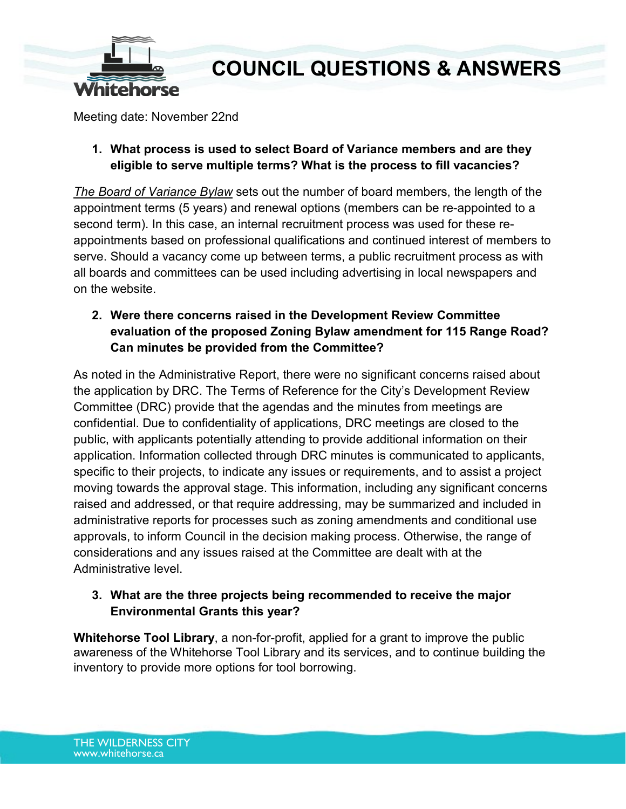

# **COUNCIL QUESTIONS & ANSWERS**

Meeting date: November 22nd

### **1. What process is used to select Board of Variance members and are they eligible to serve multiple terms? What is the process to fill vacancies?**

*[The Board of Variance Bylaw](https://cloud.whitehorse.ca/index.php/apps/files/?dir=/Adopted%20Bylaws/Frequently%20Used%20Bylaws%20(includes%20consolidations%20of%20amended%20bylaws)&fileid=16421)* sets out the number of board members, the length of the appointment terms (5 years) and renewal options (members can be re-appointed to a second term). In this case, an internal recruitment process was used for these reappointments based on professional qualifications and continued interest of members to serve. Should a vacancy come up between terms, a public recruitment process as with all boards and committees can be used including advertising in local newspapers and on the website.

## **2. Were there concerns raised in the Development Review Committee evaluation of the proposed Zoning Bylaw amendment for 115 Range Road? Can minutes be provided from the Committee?**

As noted in the Administrative Report, there were no significant concerns raised about the application by DRC. The Terms of Reference for the City's Development Review Committee (DRC) provide that the agendas and the minutes from meetings are confidential. Due to confidentiality of applications, DRC meetings are closed to the public, with applicants potentially attending to provide additional information on their application. Information collected through DRC minutes is communicated to applicants, specific to their projects, to indicate any issues or requirements, and to assist a project moving towards the approval stage. This information, including any significant concerns raised and addressed, or that require addressing, may be summarized and included in administrative reports for processes such as zoning amendments and conditional use approvals, to inform Council in the decision making process. Otherwise, the range of considerations and any issues raised at the Committee are dealt with at the Administrative level.

### **3. What are the three projects being recommended to receive the major Environmental Grants this year?**

**Whitehorse Tool Library**, a non-for-profit, applied for a grant to improve the public awareness of the Whitehorse Tool Library and its services, and to continue building the inventory to provide more options for tool borrowing.